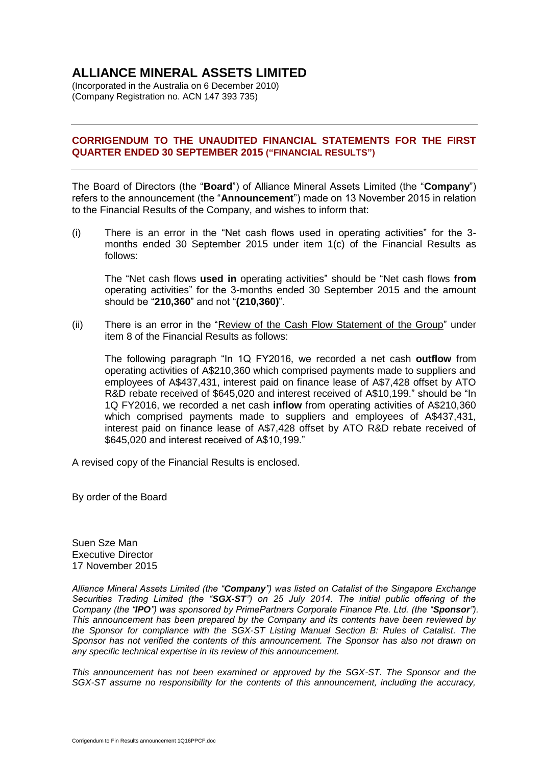# **ALLIANCE MINERAL ASSETS LIMITED**

(Incorporated in the Australia on 6 December 2010) (Company Registration no. ACN 147 393 735)

## **CORRIGENDUM TO THE UNAUDITED FINANCIAL STATEMENTS FOR THE FIRST QUARTER ENDED 30 SEPTEMBER 2015 ("FINANCIAL RESULTS")**

The Board of Directors (the "**Board**") of Alliance Mineral Assets Limited (the "**Company**") refers to the announcement (the "**Announcement**") made on 13 November 2015 in relation to the Financial Results of the Company, and wishes to inform that:

(i) There is an error in the "Net cash flows used in operating activities" for the 3 months ended 30 September 2015 under item 1(c) of the Financial Results as follows:

The "Net cash flows **used in** operating activities" should be "Net cash flows **from** operating activities" for the 3-months ended 30 September 2015 and the amount should be "**210,360**" and not "**(210,360)**".

(ii) There is an error in the "Review of the Cash Flow Statement of the Group" under item 8 of the Financial Results as follows:

The following paragraph "In 1Q FY2016, we recorded a net cash **outflow** from operating activities of A\$210,360 which comprised payments made to suppliers and employees of A\$437,431, interest paid on finance lease of A\$7,428 offset by ATO R&D rebate received of \$645,020 and interest received of A\$10,199." should be "In 1Q FY2016, we recorded a net cash **inflow** from operating activities of A\$210,360 which comprised payments made to suppliers and employees of A\$437,431, interest paid on finance lease of A\$7,428 offset by ATO R&D rebate received of \$645,020 and interest received of A\$10,199."

A revised copy of the Financial Results is enclosed.

By order of the Board

Suen Sze Man Executive Director 17 November 2015

*Alliance Mineral Assets Limited (the "Company") was listed on Catalist of the Singapore Exchange Securities Trading Limited (the "SGX-ST") on 25 July 2014. The initial public offering of the Company (the "IPO") was sponsored by PrimePartners Corporate Finance Pte. Ltd. (the "Sponsor"). This announcement has been prepared by the Company and its contents have been reviewed by the Sponsor for compliance with the SGX-ST Listing Manual Section B: Rules of Catalist. The Sponsor has not verified the contents of this announcement. The Sponsor has also not drawn on any specific technical expertise in its review of this announcement.*

*This announcement has not been examined or approved by the SGX-ST. The Sponsor and the SGX-ST assume no responsibility for the contents of this announcement, including the accuracy,*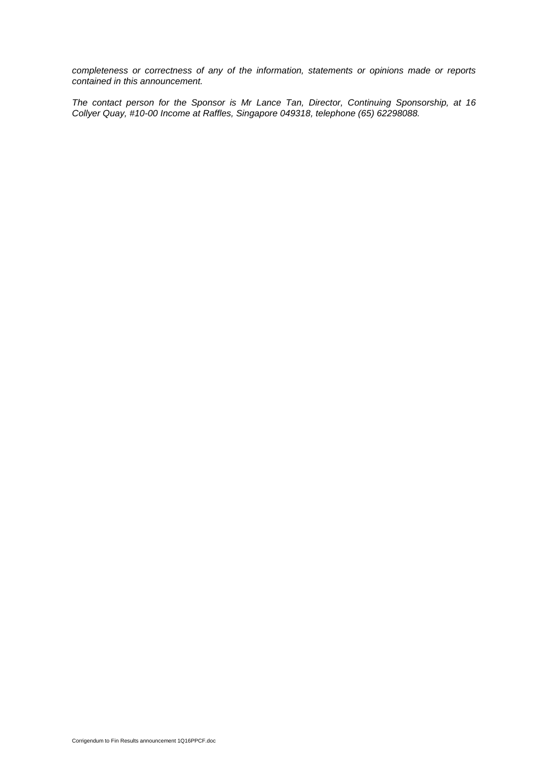*completeness or correctness of any of the information, statements or opinions made or reports contained in this announcement.*

*The contact person for the Sponsor is Mr Lance Tan, Director, Continuing Sponsorship, at 16 Collyer Quay, #10-00 Income at Raffles, Singapore 049318, telephone (65) 62298088.*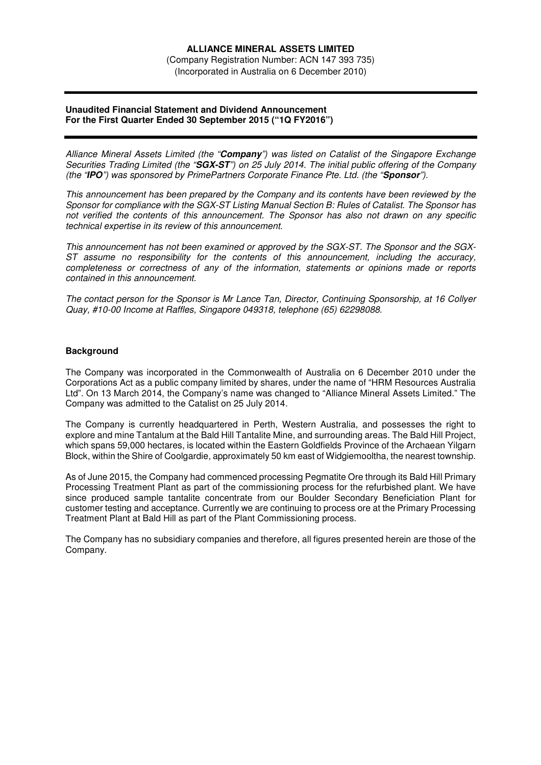(Company Registration Number: ACN 147 393 735) (Incorporated in Australia on 6 December 2010)

## **Unaudited Financial Statement and Dividend Announcement For the First Quarter Ended 30 September 2015 ("1Q FY2016")**

*Alliance Mineral Assets Limited (the "***Company***") was listed on Catalist of the Singapore Exchange Securities Trading Limited (the "***SGX-ST***") on 25 July 2014. The initial public offering of the Company (the "***IPO***") was sponsored by PrimePartners Corporate Finance Pte. Ltd. (the "***Sponsor***").* 

*This announcement has been prepared by the Company and its contents have been reviewed by the Sponsor for compliance with the SGX-ST Listing Manual Section B: Rules of Catalist. The Sponsor has not verified the contents of this announcement. The Sponsor has also not drawn on any specific technical expertise in its review of this announcement.* 

*This announcement has not been examined or approved by the SGX-ST. The Sponsor and the SGX-ST assume no responsibility for the contents of this announcement, including the accuracy, completeness or correctness of any of the information, statements or opinions made or reports contained in this announcement.* 

*The contact person for the Sponsor is Mr Lance Tan, Director, Continuing Sponsorship, at 16 Collyer Quay, #10-00 Income at Raffles, Singapore 049318, telephone (65) 62298088.*

## **Background**

The Company was incorporated in the Commonwealth of Australia on 6 December 2010 under the Corporations Act as a public company limited by shares, under the name of "HRM Resources Australia Ltd". On 13 March 2014, the Company's name was changed to "Alliance Mineral Assets Limited." The Company was admitted to the Catalist on 25 July 2014.

The Company is currently headquartered in Perth, Western Australia, and possesses the right to explore and mine Tantalum at the Bald Hill Tantalite Mine, and surrounding areas. The Bald Hill Project, which spans 59,000 hectares, is located within the Eastern Goldfields Province of the Archaean Yilgarn Block, within the Shire of Coolgardie, approximately 50 km east of Widgiemooltha, the nearest township.

As of June 2015, the Company had commenced processing Pegmatite Ore through its Bald Hill Primary Processing Treatment Plant as part of the commissioning process for the refurbished plant. We have since produced sample tantalite concentrate from our Boulder Secondary Beneficiation Plant for customer testing and acceptance. Currently we are continuing to process ore at the Primary Processing Treatment Plant at Bald Hill as part of the Plant Commissioning process.

The Company has no subsidiary companies and therefore, all figures presented herein are those of the Company.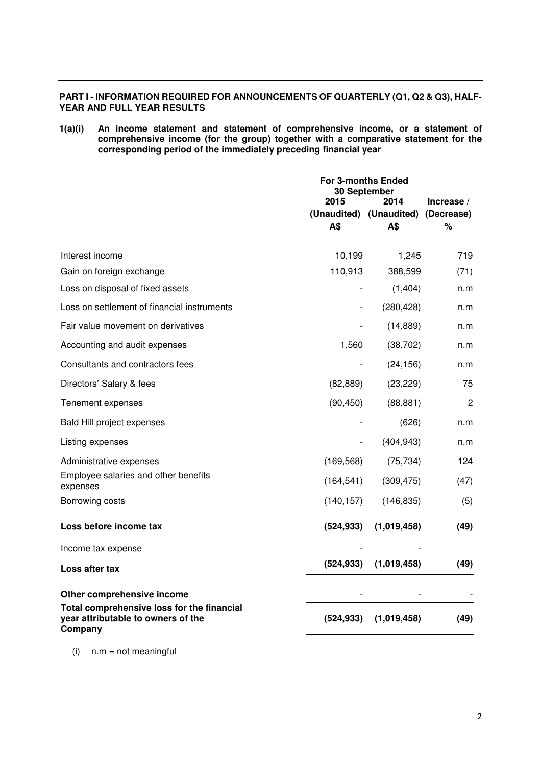## **PART I - INFORMATION REQUIRED FOR ANNOUNCEMENTS OF QUARTERLY (Q1, Q2 & Q3), HALF-YEAR AND FULL YEAR RESULTS**

**1(a)(i) An income statement and statement of comprehensive income, or a statement of comprehensive income (for the group) together with a comparative statement for the corresponding period of the immediately preceding financial year** 

|                                                                                             | For 3-months Ended<br>30 September<br>2015<br>2014 |             | Increase $/$ |  |
|---------------------------------------------------------------------------------------------|----------------------------------------------------|-------------|--------------|--|
|                                                                                             | (Unaudited) (Unaudited)                            |             | (Decrease)   |  |
|                                                                                             | A\$                                                | A\$         | %            |  |
| Interest income                                                                             | 10,199                                             | 1,245       | 719          |  |
| Gain on foreign exchange                                                                    | 110,913                                            | 388,599     | (71)         |  |
| Loss on disposal of fixed assets                                                            |                                                    | (1,404)     | n.m          |  |
| Loss on settlement of financial instruments                                                 |                                                    | (280, 428)  | n.m          |  |
| Fair value movement on derivatives                                                          |                                                    | (14, 889)   | n.m          |  |
| Accounting and audit expenses                                                               | 1,560                                              | (38, 702)   | n.m          |  |
| Consultants and contractors fees                                                            | $\qquad \qquad \blacksquare$                       | (24, 156)   | n.m          |  |
| Directors' Salary & fees                                                                    | (82, 889)                                          | (23, 229)   | 75           |  |
| Tenement expenses                                                                           | (90, 450)                                          | (88, 881)   | 2            |  |
| <b>Bald Hill project expenses</b>                                                           |                                                    | (626)       | n.m          |  |
| Listing expenses                                                                            |                                                    | (404, 943)  | n.m          |  |
| Administrative expenses                                                                     | (169, 568)                                         | (75, 734)   | 124          |  |
| Employee salaries and other benefits<br>expenses                                            | (164, 541)                                         | (309, 475)  | (47)         |  |
| Borrowing costs                                                                             | (140, 157)                                         | (146, 835)  | (5)          |  |
| Loss before income tax                                                                      | (524, 933)                                         | (1,019,458) | (49)         |  |
| Income tax expense                                                                          |                                                    |             |              |  |
| Loss after tax                                                                              | (524, 933)                                         | (1,019,458) | (49)         |  |
| Other comprehensive income                                                                  |                                                    |             |              |  |
| Total comprehensive loss for the financial<br>year attributable to owners of the<br>Company | (524, 933)                                         | (1,019,458) | (49)         |  |

 $(i)$  n.m = not meaningful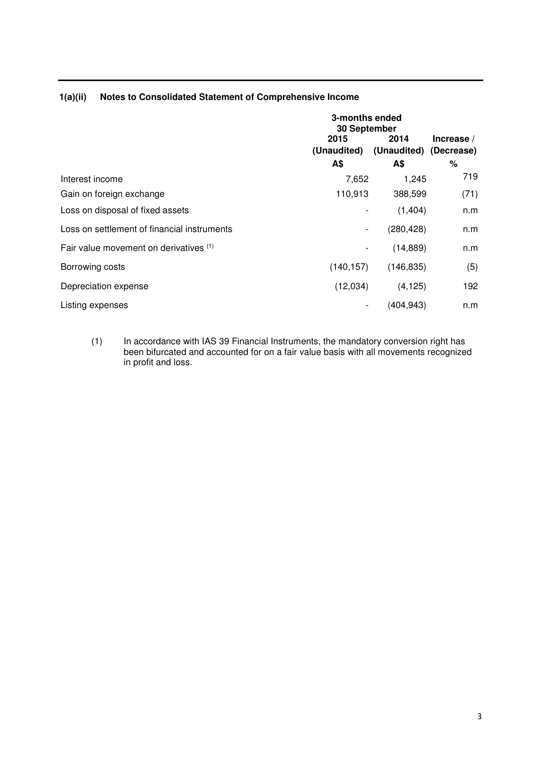|                                             | 3-months ended<br>30 September             |            |              |
|---------------------------------------------|--------------------------------------------|------------|--------------|
|                                             | 2015<br>(Unaudited) (Unaudited) (Decrease) | 2014       | Increase $/$ |
|                                             | A\$                                        | A\$        | $\%$         |
| Interest income                             | 7,652                                      | 1,245      | 719          |
| Gain on foreign exchange                    | 110,913                                    | 388,599    | (71)         |
| Loss on disposal of fixed assets            |                                            | (1,404)    | n.m          |
| Loss on settlement of financial instruments | ۰                                          | (280, 428) | n.m          |
| Fair value movement on derivatives (1)      |                                            | (14, 889)  | n.m          |
| Borrowing costs                             | (140, 157)                                 | (146, 835) | (5)          |
| Depreciation expense                        | (12,034)                                   | (4, 125)   | 192          |
| Listing expenses                            |                                            | (404,943)  | n.m          |

## **1(a)(ii) Notes to Consolidated Statement of Comprehensive Income**

(1) In accordance with IAS 39 Financial Instruments, the mandatory conversion right has been bifurcated and accounted for on a fair value basis with all movements recognized in profit and loss.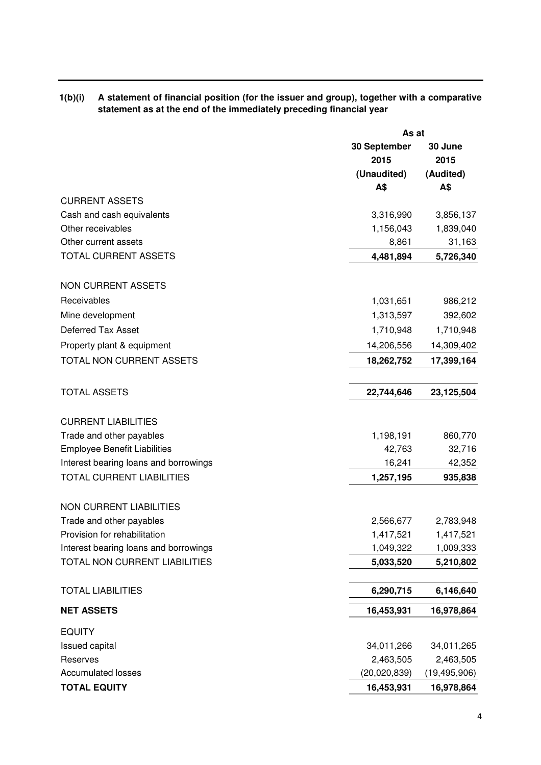| 1(b)(i) A statement of financial position (for the issuer and group), together with a comparative |
|---------------------------------------------------------------------------------------------------|
| statement as at the end of the immediately preceding financial year                               |

|                                       | As at        |                |  |
|---------------------------------------|--------------|----------------|--|
|                                       | 30 September | 30 June        |  |
|                                       | 2015         | 2015           |  |
|                                       | (Unaudited)  | (Audited)      |  |
|                                       | A\$          | A\$            |  |
| <b>CURRENT ASSETS</b>                 |              |                |  |
| Cash and cash equivalents             | 3,316,990    | 3,856,137      |  |
| Other receivables                     | 1,156,043    | 1,839,040      |  |
| Other current assets                  | 8,861        | 31,163         |  |
| TOTAL CURRENT ASSETS                  | 4,481,894    | 5,726,340      |  |
| <b>NON CURRENT ASSETS</b>             |              |                |  |
| Receivables                           | 1,031,651    | 986,212        |  |
| Mine development                      | 1,313,597    | 392,602        |  |
| <b>Deferred Tax Asset</b>             | 1,710,948    | 1,710,948      |  |
| Property plant & equipment            | 14,206,556   | 14,309,402     |  |
| TOTAL NON CURRENT ASSETS              | 18,262,752   | 17,399,164     |  |
| <b>TOTAL ASSETS</b>                   |              |                |  |
|                                       | 22,744,646   | 23,125,504     |  |
| <b>CURRENT LIABILITIES</b>            |              |                |  |
| Trade and other payables              | 1,198,191    | 860,770        |  |
| <b>Employee Benefit Liabilities</b>   | 42,763       | 32,716         |  |
| Interest bearing loans and borrowings | 16,241       | 42,352         |  |
| <b>TOTAL CURRENT LIABILITIES</b>      | 1,257,195    | 935,838        |  |
| <b>NON CURRENT LIABILITIES</b>        |              |                |  |
| Trade and other payables              | 2,566,677    | 2,783,948      |  |
| Provision for rehabilitation          | 1,417,521    | 1,417,521      |  |
| Interest bearing loans and borrowings | 1,049,322    | 1,009,333      |  |
| TOTAL NON CURRENT LIABILITIES         | 5,033,520    | 5,210,802      |  |
| <b>TOTAL LIABILITIES</b>              | 6,290,715    | 6,146,640      |  |
| <b>NET ASSETS</b>                     | 16,453,931   | 16,978,864     |  |
| <b>EQUITY</b>                         |              |                |  |
| <b>Issued capital</b>                 | 34,011,266   | 34,011,265     |  |
| Reserves                              | 2,463,505    | 2,463,505      |  |
| <b>Accumulated losses</b>             | (20,020,839) | (19, 495, 906) |  |
| <b>TOTAL EQUITY</b>                   | 16,453,931   | 16,978,864     |  |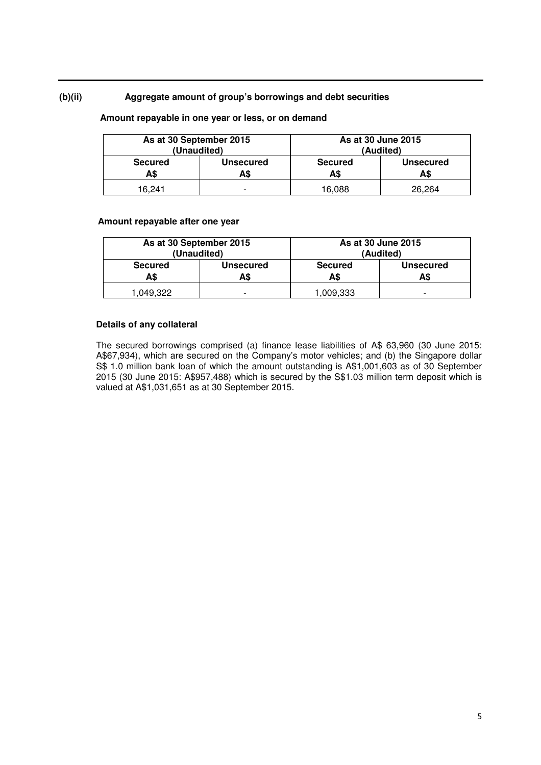## **(b)(ii) Aggregate amount of group's borrowings and debt securities**

## **Amount repayable in one year or less, or on demand**

| As at 30 September 2015<br>(Unaudited) |                         | As at 30 June 2015<br>(Audited)                  |        |
|----------------------------------------|-------------------------|--------------------------------------------------|--------|
| <b>Secured</b><br>A\$                  | <b>Unsecured</b><br>A\$ | <b>Secured</b><br><b>Unsecured</b><br>A\$<br>A\$ |        |
| 16.241                                 | -                       | 16.088                                           | 26.264 |

#### **Amount repayable after one year**

| As at 30 September 2015<br>(Unaudited) |                  | As at 30 June 2015<br>(Audited)                  |                          |
|----------------------------------------|------------------|--------------------------------------------------|--------------------------|
| <b>Secured</b><br>A\$                  | Unsecured<br>A\$ | <b>Unsecured</b><br><b>Secured</b><br>A\$<br>A\$ |                          |
| .049.322                               | -                | 1,009,333                                        | $\overline{\phantom{0}}$ |

## **Details of any collateral**

The secured borrowings comprised (a) finance lease liabilities of A\$ 63,960 (30 June 2015: A\$67,934), which are secured on the Company's motor vehicles; and (b) the Singapore dollar S\$ 1.0 million bank loan of which the amount outstanding is A\$1,001,603 as of 30 September 2015 (30 June 2015: A\$957,488) which is secured by the S\$1.03 million term deposit which is valued at A\$1,031,651 as at 30 September 2015.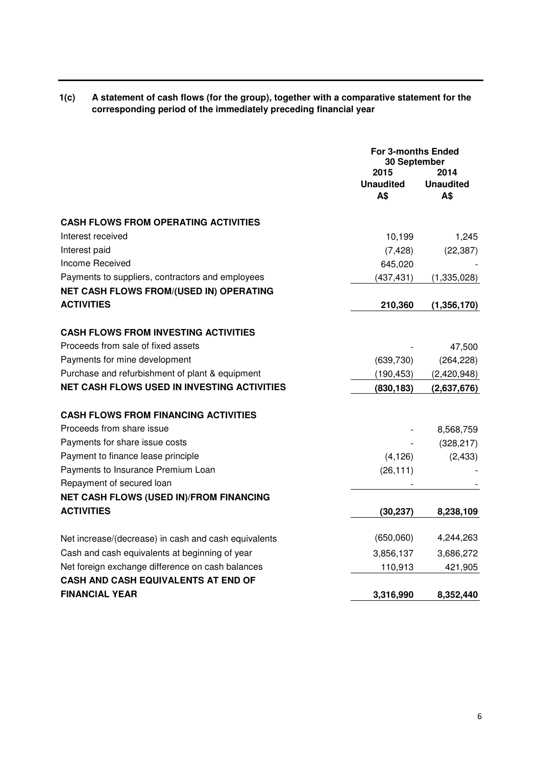| 1(c) | A statement of cash flows (for the group), together with a comparative statement for the |
|------|------------------------------------------------------------------------------------------|
|      | corresponding period of the immediately preceding financial year                         |

|                                                      | <b>For 3-months Ended</b><br>30 September<br>2014<br>2015<br><b>Unaudited</b><br><b>Unaudited</b><br>A\$<br>A\$ |               |
|------------------------------------------------------|-----------------------------------------------------------------------------------------------------------------|---------------|
| <b>CASH FLOWS FROM OPERATING ACTIVITIES</b>          |                                                                                                                 |               |
| Interest received                                    | 10,199                                                                                                          | 1,245         |
| Interest paid                                        | (7, 428)                                                                                                        | (22, 387)     |
| Income Received                                      | 645,020                                                                                                         |               |
| Payments to suppliers, contractors and employees     | (437, 431)                                                                                                      | (1,335,028)   |
| <b>NET CASH FLOWS FROM/(USED IN) OPERATING</b>       |                                                                                                                 |               |
| <b>ACTIVITIES</b>                                    | 210,360                                                                                                         | (1, 356, 170) |
| <b>CASH FLOWS FROM INVESTING ACTIVITIES</b>          |                                                                                                                 |               |
| Proceeds from sale of fixed assets                   |                                                                                                                 | 47,500        |
| Payments for mine development                        | (639, 730)                                                                                                      | (264, 228)    |
| Purchase and refurbishment of plant & equipment      | (190, 453)                                                                                                      | (2,420,948)   |
| NET CASH FLOWS USED IN INVESTING ACTIVITIES          | (830, 183)                                                                                                      |               |
|                                                      |                                                                                                                 | (2,637,676)   |
| <b>CASH FLOWS FROM FINANCING ACTIVITIES</b>          |                                                                                                                 |               |
| Proceeds from share issue                            |                                                                                                                 | 8,568,759     |
| Payments for share issue costs                       |                                                                                                                 | (328, 217)    |
| Payment to finance lease principle                   | (4, 126)                                                                                                        | (2, 433)      |
| Payments to Insurance Premium Loan                   | (26, 111)                                                                                                       |               |
| Repayment of secured loan                            |                                                                                                                 |               |
| <b>NET CASH FLOWS (USED IN)/FROM FINANCING</b>       |                                                                                                                 |               |
| <b>ACTIVITIES</b>                                    | (30, 237)                                                                                                       | 8,238,109     |
| Net increase/(decrease) in cash and cash equivalents | (650,060)                                                                                                       | 4,244,263     |
| Cash and cash equivalents at beginning of year       | 3,856,137                                                                                                       | 3,686,272     |
| Net foreign exchange difference on cash balances     | 110,913                                                                                                         | 421,905       |
| <b>CASH AND CASH EQUIVALENTS AT END OF</b>           |                                                                                                                 |               |
| <b>FINANCIAL YEAR</b>                                | 3,316,990                                                                                                       | 8,352,440     |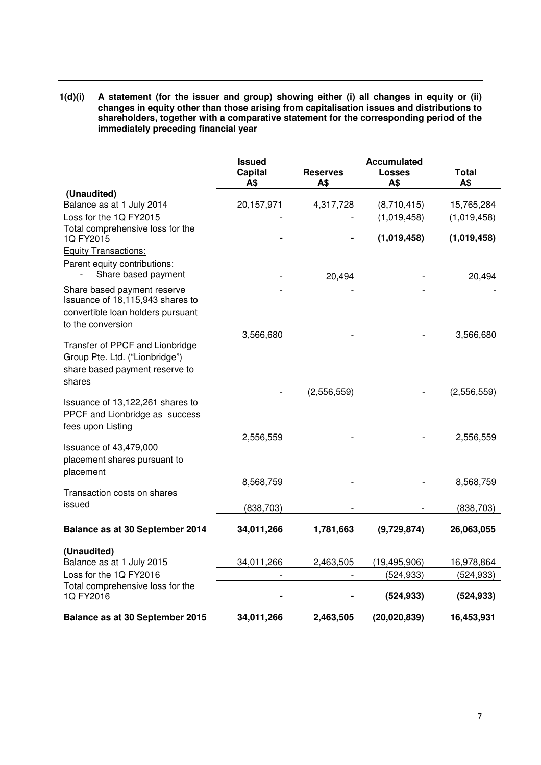**1(d)(i) A statement (for the issuer and group) showing either (i) all changes in equity or (ii) changes in equity other than those arising from capitalisation issues and distributions to shareholders, together with a comparative statement for the corresponding period of the immediately preceding financial year** 

|                                                                                                      | <b>Issued</b>  | <b>Accumulated</b>     |                      |              |
|------------------------------------------------------------------------------------------------------|----------------|------------------------|----------------------|--------------|
|                                                                                                      | Capital<br>A\$ | <b>Reserves</b><br>A\$ | <b>Losses</b><br>A\$ | Total<br>A\$ |
| (Unaudited)                                                                                          |                |                        |                      |              |
| Balance as at 1 July 2014                                                                            | 20,157,971     | 4,317,728              | (8,710,415)          | 15,765,284   |
| Loss for the 1Q FY2015                                                                               |                |                        | (1,019,458)          | (1,019,458)  |
| Total comprehensive loss for the<br>1Q FY2015                                                        |                |                        | (1,019,458)          | (1,019,458)  |
| <b>Equity Transactions:</b>                                                                          |                |                        |                      |              |
| Parent equity contributions:<br>Share based payment                                                  |                | 20,494                 |                      | 20,494       |
| Share based payment reserve<br>Issuance of 18,115,943 shares to<br>convertible loan holders pursuant |                |                        |                      |              |
| to the conversion                                                                                    |                |                        |                      |              |
| Transfer of PPCF and Lionbridge                                                                      | 3,566,680      |                        |                      | 3,566,680    |
| Group Pte. Ltd. ("Lionbridge")                                                                       |                |                        |                      |              |
| share based payment reserve to                                                                       |                |                        |                      |              |
| shares                                                                                               |                |                        |                      |              |
| Issuance of 13,122,261 shares to<br>PPCF and Lionbridge as success<br>fees upon Listing              |                | (2,556,559)            |                      | (2,556,559)  |
|                                                                                                      | 2,556,559      |                        |                      | 2,556,559    |
| Issuance of 43,479,000<br>placement shares pursuant to<br>placement                                  |                |                        |                      |              |
|                                                                                                      | 8,568,759      |                        |                      | 8,568,759    |
| Transaction costs on shares                                                                          |                |                        |                      |              |
| issued                                                                                               | (838, 703)     |                        |                      | (838, 703)   |
| Balance as at 30 September 2014                                                                      | 34,011,266     | 1,781,663              | (9,729,874)          | 26,063,055   |
| (Unaudited)                                                                                          |                |                        |                      |              |
| Balance as at 1 July 2015                                                                            | 34,011,266     | 2,463,505              | (19, 495, 906)       | 16,978,864   |
| Loss for the 1Q FY2016                                                                               |                |                        | (524, 933)           | (524, 933)   |
| Total comprehensive loss for the                                                                     |                |                        |                      |              |
| 1Q FY2016                                                                                            |                |                        | (524, 933)           | (524, 933)   |
| Balance as at 30 September 2015                                                                      | 34,011,266     | 2,463,505              | (20, 020, 839)       | 16,453,931   |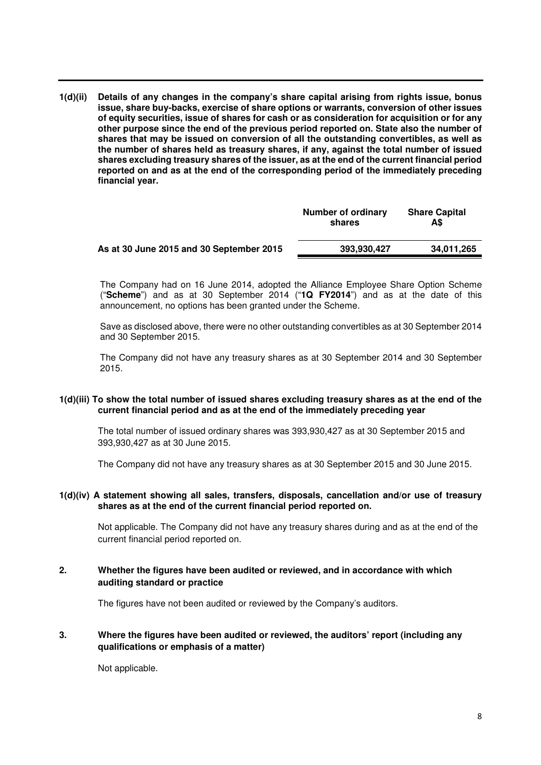**1(d)(ii) Details of any changes in the company's share capital arising from rights issue, bonus issue, share buy-backs, exercise of share options or warrants, conversion of other issues of equity securities, issue of shares for cash or as consideration for acquisition or for any other purpose since the end of the previous period reported on. State also the number of shares that may be issued on conversion of all the outstanding convertibles, as well as the number of shares held as treasury shares, if any, against the total number of issued shares excluding treasury shares of the issuer, as at the end of the current financial period reported on and as at the end of the corresponding period of the immediately preceding financial year.** 

|                                          | Number of ordinary<br>shares | <b>Share Capital</b><br>A\$ |
|------------------------------------------|------------------------------|-----------------------------|
| As at 30 June 2015 and 30 September 2015 | 393.930.427                  | 34,011,265                  |

The Company had on 16 June 2014, adopted the Alliance Employee Share Option Scheme ("**Scheme**") and as at 30 September 2014 ("**1Q FY2014**") and as at the date of this announcement, no options has been granted under the Scheme.

Save as disclosed above, there were no other outstanding convertibles as at 30 September 2014 and 30 September 2015.

The Company did not have any treasury shares as at 30 September 2014 and 30 September 2015.

#### **1(d)(iii) To show the total number of issued shares excluding treasury shares as at the end of the current financial period and as at the end of the immediately preceding year**

The total number of issued ordinary shares was 393,930,427 as at 30 September 2015 and 393,930,427 as at 30 June 2015.

The Company did not have any treasury shares as at 30 September 2015 and 30 June 2015.

## **1(d)(iv) A statement showing all sales, transfers, disposals, cancellation and/or use of treasury shares as at the end of the current financial period reported on.**

Not applicable. The Company did not have any treasury shares during and as at the end of the current financial period reported on.

## **2. Whether the figures have been audited or reviewed, and in accordance with which auditing standard or practice**

The figures have not been audited or reviewed by the Company's auditors.

## **3. Where the figures have been audited or reviewed, the auditors' report (including any qualifications or emphasis of a matter)**

Not applicable.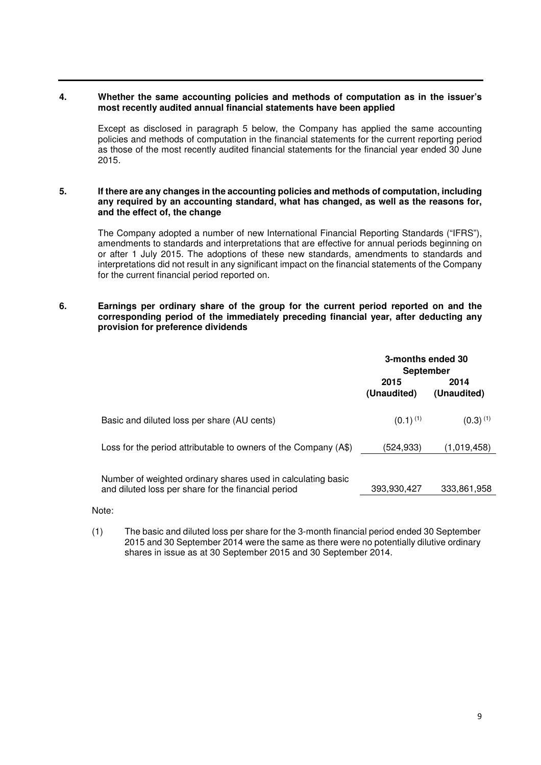## **4. Whether the same accounting policies and methods of computation as in the issuer's most recently audited annual financial statements have been applied**

Except as disclosed in paragraph 5 below, the Company has applied the same accounting policies and methods of computation in the financial statements for the current reporting period as those of the most recently audited financial statements for the financial year ended 30 June 2015.

#### **5. If there are any changes in the accounting policies and methods of computation, including any required by an accounting standard, what has changed, as well as the reasons for, and the effect of, the change**

The Company adopted a number of new International Financial Reporting Standards ("IFRS"), amendments to standards and interpretations that are effective for annual periods beginning on or after 1 July 2015. The adoptions of these new standards, amendments to standards and interpretations did not result in any significant impact on the financial statements of the Company for the current financial period reported on.

## **6. Earnings per ordinary share of the group for the current period reported on and the corresponding period of the immediately preceding financial year, after deducting any provision for preference dividends**

|                                                                                                                     | 3-months ended 30<br>September |                     |
|---------------------------------------------------------------------------------------------------------------------|--------------------------------|---------------------|
|                                                                                                                     | 2015<br>(Unaudited)            | 2014<br>(Unaudited) |
| Basic and diluted loss per share (AU cents)                                                                         | $(0.1)^{(1)}$                  | $(0.3)^{(1)}$       |
| Loss for the period attributable to owners of the Company (A\$)                                                     | (524,933)                      | (1,019,458)         |
| Number of weighted ordinary shares used in calculating basic<br>and diluted loss per share for the financial period | 393,930,427                    | 333,861,958         |

Note:

(1) The basic and diluted loss per share for the 3-month financial period ended 30 September 2015 and 30 September 2014 were the same as there were no potentially dilutive ordinary shares in issue as at 30 September 2015 and 30 September 2014.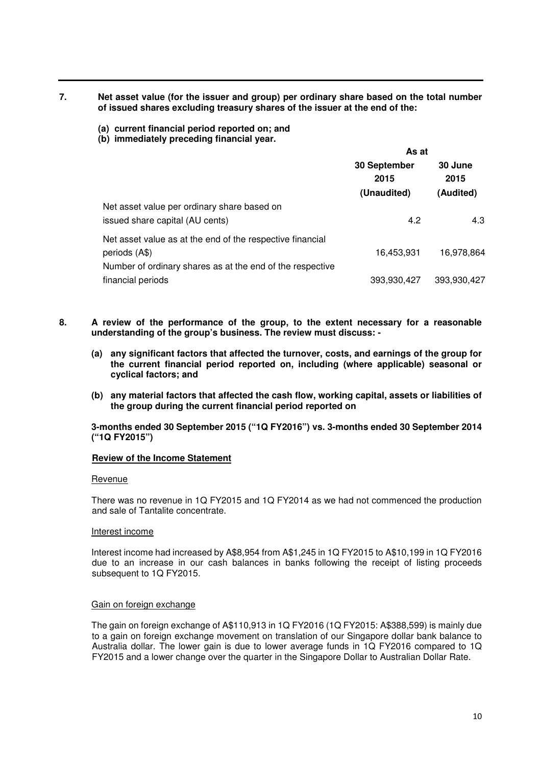## **7. Net asset value (for the issuer and group) per ordinary share based on the total number of issued shares excluding treasury shares of the issuer at the end of the:**

## **(a) current financial period reported on; and**

**(b) immediately preceding financial year.** 

|                                                                                                                                         | As at                               |                              |  |
|-----------------------------------------------------------------------------------------------------------------------------------------|-------------------------------------|------------------------------|--|
|                                                                                                                                         | 30 September<br>2015<br>(Unaudited) | 30 June<br>2015<br>(Audited) |  |
| Net asset value per ordinary share based on<br>issued share capital (AU cents)                                                          | 4.2                                 | 4.3                          |  |
| Net asset value as at the end of the respective financial<br>periods (A\$)<br>Number of ordinary shares as at the end of the respective | 16,453,931                          | 16,978,864                   |  |
| financial periods                                                                                                                       | 393,930,427                         | 393,930,427                  |  |

- **8. A review of the performance of the group, to the extent necessary for a reasonable understanding of the group's business. The review must discuss: -** 
	- **(a) any significant factors that affected the turnover, costs, and earnings of the group for the current financial period reported on, including (where applicable) seasonal or cyclical factors; and**
	- **(b) any material factors that affected the cash flow, working capital, assets or liabilities of the group during the current financial period reported on**

**3-months ended 30 September 2015 ("1Q FY2016") vs. 3-months ended 30 September 2014 ("1Q FY2015")** 

## **Review of the Income Statement**

#### Revenue

There was no revenue in 1Q FY2015 and 1Q FY2014 as we had not commenced the production and sale of Tantalite concentrate.

### Interest income

Interest income had increased by A\$8,954 from A\$1,245 in 1Q FY2015 to A\$10,199 in 1Q FY2016 due to an increase in our cash balances in banks following the receipt of listing proceeds subsequent to 1Q FY2015.

#### Gain on foreign exchange

The gain on foreign exchange of A\$110,913 in 1Q FY2016 (1Q FY2015: A\$388,599) is mainly due to a gain on foreign exchange movement on translation of our Singapore dollar bank balance to Australia dollar. The lower gain is due to lower average funds in 1Q FY2016 compared to 1Q FY2015 and a lower change over the quarter in the Singapore Dollar to Australian Dollar Rate.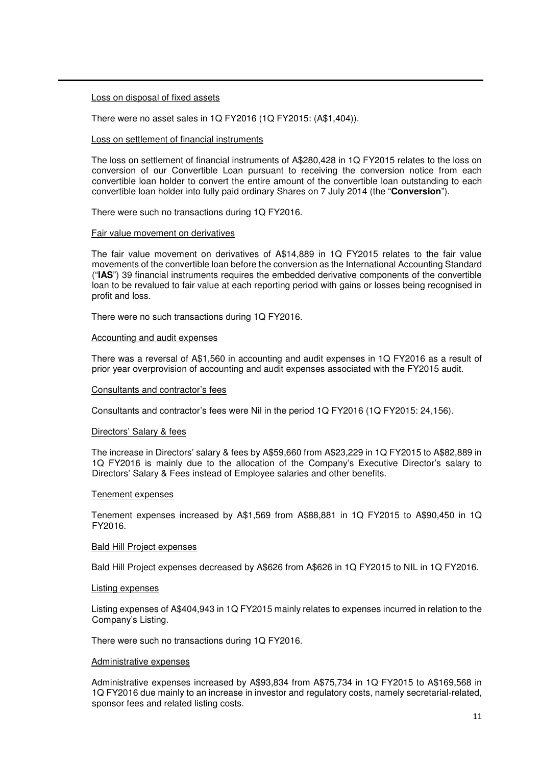#### Loss on disposal of fixed assets

There were no asset sales in 1Q FY2016 (1Q FY2015: (A\$1,404)).

#### Loss on settlement of financial instruments

The loss on settlement of financial instruments of A\$280,428 in 1Q FY2015 relates to the loss on conversion of our Convertible Loan pursuant to receiving the conversion notice from each convertible loan holder to convert the entire amount of the convertible loan outstanding to each convertible loan holder into fully paid ordinary Shares on 7 July 2014 (the "**Conversion**").

There were such no transactions during 1Q FY2016.

#### Fair value movement on derivatives

The fair value movement on derivatives of A\$14,889 in 1Q FY2015 relates to the fair value movements of the convertible loan before the conversion as the International Accounting Standard ("**IAS**") 39 financial instruments requires the embedded derivative components of the convertible loan to be revalued to fair value at each reporting period with gains or losses being recognised in profit and loss.

There were no such transactions during 1Q FY2016.

#### Accounting and audit expenses

There was a reversal of A\$1,560 in accounting and audit expenses in 1Q FY2016 as a result of prior year overprovision of accounting and audit expenses associated with the FY2015 audit.

#### Consultants and contractor's fees

Consultants and contractor's fees were Nil in the period 1Q FY2016 (1Q FY2015: 24,156).

### Directors' Salary & fees

The increase in Directors' salary & fees by A\$59,660 from A\$23,229 in 1Q FY2015 to A\$82,889 in 1Q FY2016 is mainly due to the allocation of the Company's Executive Director's salary to Directors' Salary & Fees instead of Employee salaries and other benefits.

#### Tenement expenses

Tenement expenses increased by A\$1,569 from A\$88,881 in 1Q FY2015 to A\$90,450 in 1Q FY2016.

#### Bald Hill Project expenses

Bald Hill Project expenses decreased by A\$626 from A\$626 in 1Q FY2015 to NIL in 1Q FY2016.

#### Listing expenses

Listing expenses of A\$404,943 in 1Q FY2015 mainly relates to expenses incurred in relation to the Company's Listing.

There were such no transactions during 1Q FY2016.

#### Administrative expenses

Administrative expenses increased by A\$93,834 from A\$75,734 in 1Q FY2015 to A\$169,568 in 1Q FY2016 due mainly to an increase in investor and regulatory costs, namely secretarial-related, sponsor fees and related listing costs.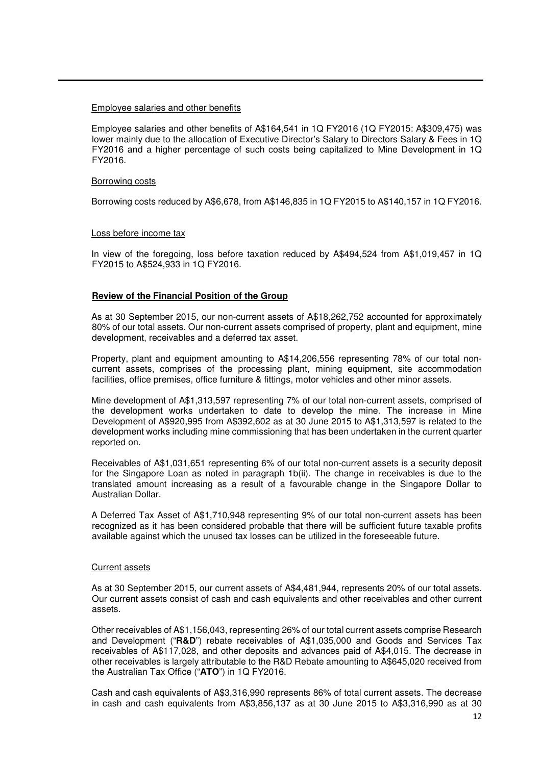#### Employee salaries and other benefits

Employee salaries and other benefits of A\$164,541 in 1Q FY2016 (1Q FY2015: A\$309,475) was lower mainly due to the allocation of Executive Director's Salary to Directors Salary & Fees in 1Q FY2016 and a higher percentage of such costs being capitalized to Mine Development in 1Q FY2016.

#### Borrowing costs

Borrowing costs reduced by A\$6,678, from A\$146,835 in 1Q FY2015 to A\$140,157 in 1Q FY2016.

#### Loss before income tax

In view of the foregoing, loss before taxation reduced by A\$494,524 from A\$1,019,457 in 1Q FY2015 to A\$524,933 in 1Q FY2016.

#### **Review of the Financial Position of the Group**

As at 30 September 2015, our non-current assets of A\$18,262,752 accounted for approximately 80% of our total assets. Our non-current assets comprised of property, plant and equipment, mine development, receivables and a deferred tax asset.

Property, plant and equipment amounting to A\$14,206,556 representing 78% of our total noncurrent assets, comprises of the processing plant, mining equipment, site accommodation facilities, office premises, office furniture & fittings, motor vehicles and other minor assets.

Mine development of A\$1,313,597 representing 7% of our total non-current assets, comprised of the development works undertaken to date to develop the mine. The increase in Mine Development of A\$920,995 from A\$392,602 as at 30 June 2015 to A\$1,313,597 is related to the development works including mine commissioning that has been undertaken in the current quarter reported on.

Receivables of A\$1,031,651 representing 6% of our total non-current assets is a security deposit for the Singapore Loan as noted in paragraph 1b(ii). The change in receivables is due to the translated amount increasing as a result of a favourable change in the Singapore Dollar to Australian Dollar.

A Deferred Tax Asset of A\$1,710,948 representing 9% of our total non-current assets has been recognized as it has been considered probable that there will be sufficient future taxable profits available against which the unused tax losses can be utilized in the foreseeable future.

#### Current assets

As at 30 September 2015, our current assets of A\$4,481,944, represents 20% of our total assets. Our current assets consist of cash and cash equivalents and other receivables and other current assets.

Other receivables of A\$1,156,043, representing 26% of our total current assets comprise Research and Development ("**R&D**") rebate receivables of A\$1,035,000 and Goods and Services Tax receivables of A\$117,028, and other deposits and advances paid of A\$4,015. The decrease in other receivables is largely attributable to the R&D Rebate amounting to A\$645,020 received from the Australian Tax Office ("**ATO**") in 1Q FY2016.

Cash and cash equivalents of A\$3,316,990 represents 86% of total current assets. The decrease in cash and cash equivalents from A\$3,856,137 as at 30 June 2015 to A\$3,316,990 as at 30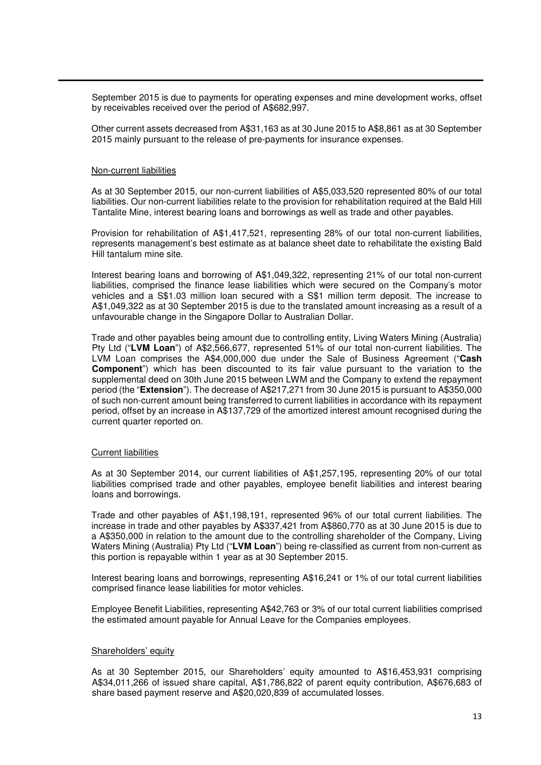September 2015 is due to payments for operating expenses and mine development works, offset by receivables received over the period of A\$682,997.

Other current assets decreased from A\$31,163 as at 30 June 2015 to A\$8,861 as at 30 September 2015 mainly pursuant to the release of pre-payments for insurance expenses.

#### Non-current liabilities

As at 30 September 2015, our non-current liabilities of A\$5,033,520 represented 80% of our total liabilities. Our non-current liabilities relate to the provision for rehabilitation required at the Bald Hill Tantalite Mine, interest bearing loans and borrowings as well as trade and other payables.

Provision for rehabilitation of A\$1,417,521, representing 28% of our total non-current liabilities, represents management's best estimate as at balance sheet date to rehabilitate the existing Bald Hill tantalum mine site.

Interest bearing loans and borrowing of A\$1,049,322, representing 21% of our total non-current liabilities, comprised the finance lease liabilities which were secured on the Company's motor vehicles and a S\$1.03 million loan secured with a S\$1 million term deposit. The increase to A\$1,049,322 as at 30 September 2015 is due to the translated amount increasing as a result of a unfavourable change in the Singapore Dollar to Australian Dollar.

Trade and other payables being amount due to controlling entity, Living Waters Mining (Australia) Pty Ltd ("**LVM Loan**") of A\$2,566,677, represented 51% of our total non-current liabilities. The LVM Loan comprises the A\$4,000,000 due under the Sale of Business Agreement ("**Cash Component**") which has been discounted to its fair value pursuant to the variation to the supplemental deed on 30th June 2015 between LWM and the Company to extend the repayment period (the "**Extension**"). The decrease of A\$217,271 from 30 June 2015 is pursuant to A\$350,000 of such non-current amount being transferred to current liabilities in accordance with its repayment period, offset by an increase in A\$137,729 of the amortized interest amount recognised during the current quarter reported on.

#### Current liabilities

As at 30 September 2014, our current liabilities of A\$1,257,195, representing 20% of our total liabilities comprised trade and other payables, employee benefit liabilities and interest bearing loans and borrowings.

Trade and other payables of A\$1,198,191, represented 96% of our total current liabilities. The increase in trade and other payables by A\$337,421 from A\$860,770 as at 30 June 2015 is due to a A\$350,000 in relation to the amount due to the controlling shareholder of the Company, Living Waters Mining (Australia) Pty Ltd ("**LVM Loan**") being re-classified as current from non-current as this portion is repayable within 1 year as at 30 September 2015.

Interest bearing loans and borrowings, representing A\$16,241 or 1% of our total current liabilities comprised finance lease liabilities for motor vehicles.

Employee Benefit Liabilities, representing A\$42,763 or 3% of our total current liabilities comprised the estimated amount payable for Annual Leave for the Companies employees.

#### Shareholders' equity

As at 30 September 2015, our Shareholders' equity amounted to A\$16,453,931 comprising A\$34,011,266 of issued share capital, A\$1,786,822 of parent equity contribution, A\$676,683 of share based payment reserve and A\$20,020,839 of accumulated losses.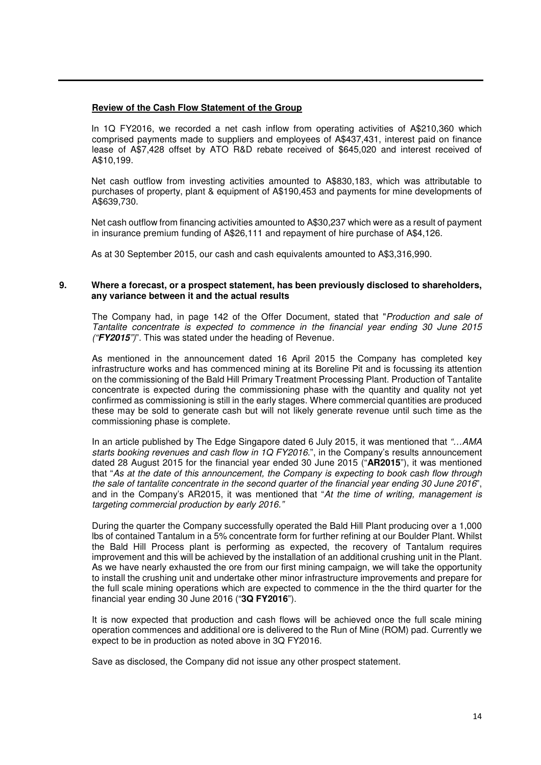## **Review of the Cash Flow Statement of the Group**

In 1Q FY2016, we recorded a net cash inflow from operating activities of A\$210,360 which comprised payments made to suppliers and employees of A\$437,431, interest paid on finance lease of A\$7,428 offset by ATO R&D rebate received of \$645,020 and interest received of A\$10,199.

Net cash outflow from investing activities amounted to A\$830,183, which was attributable to purchases of property, plant & equipment of A\$190,453 and payments for mine developments of A\$639,730.

Net cash outflow from financing activities amounted to A\$30,237 which were as a result of payment in insurance premium funding of A\$26,111 and repayment of hire purchase of A\$4,126.

As at 30 September 2015, our cash and cash equivalents amounted to A\$3,316,990.

## **9. Where a forecast, or a prospect statement, has been previously disclosed to shareholders, any variance between it and the actual results**

The Company had, in page 142 of the Offer Document, stated that "*Production and sale of Tantalite concentrate is expected to commence in the financial year ending 30 June 2015 ("***FY2015***")*". This was stated under the heading of Revenue.

As mentioned in the announcement dated 16 April 2015 the Company has completed key infrastructure works and has commenced mining at its Boreline Pit and is focussing its attention on the commissioning of the Bald Hill Primary Treatment Processing Plant. Production of Tantalite concentrate is expected during the commissioning phase with the quantity and quality not yet confirmed as commissioning is still in the early stages. Where commercial quantities are produced these may be sold to generate cash but will not likely generate revenue until such time as the commissioning phase is complete.

In an article published by The Edge Singapore dated 6 July 2015, it was mentioned that *"…AMA starts booking revenues and cash flow in 1Q FY2016.*", in the Company's results announcement dated 28 August 2015 for the financial year ended 30 June 2015 ("**AR2015**"), it was mentioned that "*As at the date of this announcement, the Company is expecting to book cash flow through the sale of tantalite concentrate in the second quarter of the financial year ending 30 June 2016*", and in the Company's AR2015, it was mentioned that "*At the time of writing, management is targeting commercial production by early 2016."*

During the quarter the Company successfully operated the Bald Hill Plant producing over a 1,000 lbs of contained Tantalum in a 5% concentrate form for further refining at our Boulder Plant. Whilst the Bald Hill Process plant is performing as expected, the recovery of Tantalum requires improvement and this will be achieved by the installation of an additional crushing unit in the Plant. As we have nearly exhausted the ore from our first mining campaign, we will take the opportunity to install the crushing unit and undertake other minor infrastructure improvements and prepare for the full scale mining operations which are expected to commence in the the third quarter for the financial year ending 30 June 2016 ("**3Q FY2016**").

It is now expected that production and cash flows will be achieved once the full scale mining operation commences and additional ore is delivered to the Run of Mine (ROM) pad. Currently we expect to be in production as noted above in 3Q FY2016.

Save as disclosed, the Company did not issue any other prospect statement.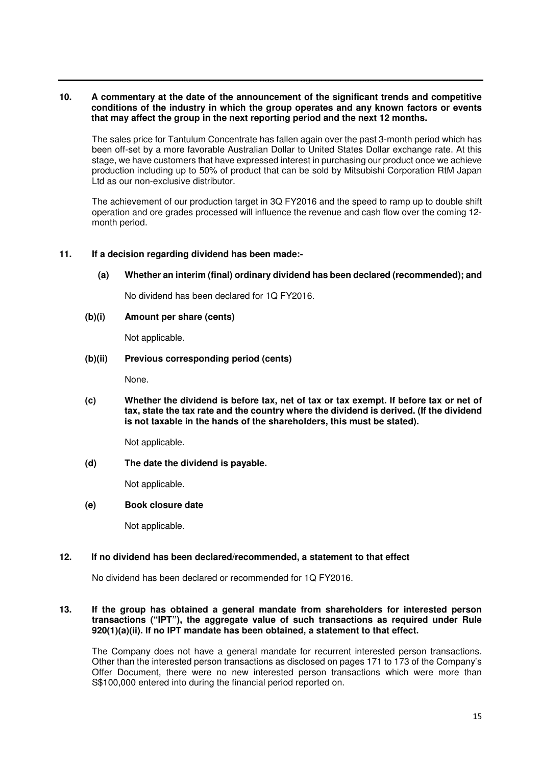## **10. A commentary at the date of the announcement of the significant trends and competitive conditions of the industry in which the group operates and any known factors or events that may affect the group in the next reporting period and the next 12 months.**

The sales price for Tantulum Concentrate has fallen again over the past 3-month period which has been off-set by a more favorable Australian Dollar to United States Dollar exchange rate. At this stage, we have customers that have expressed interest in purchasing our product once we achieve production including up to 50% of product that can be sold by Mitsubishi Corporation RtM Japan Ltd as our non-exclusive distributor.

The achievement of our production target in 3Q FY2016 and the speed to ramp up to double shift operation and ore grades processed will influence the revenue and cash flow over the coming 12 month period.

## **11. If a decision regarding dividend has been made:-**

 **(a) Whether an interim (final) ordinary dividend has been declared (recommended); and**

No dividend has been declared for 1Q FY2016.

**(b)(i) Amount per share (cents)** 

Not applicable.

#### **(b)(ii) Previous corresponding period (cents)**

None.

**(c) Whether the dividend is before tax, net of tax or tax exempt. If before tax or net of tax, state the tax rate and the country where the dividend is derived. (If the dividend is not taxable in the hands of the shareholders, this must be stated).** 

Not applicable.

**(d) The date the dividend is payable.** 

Not applicable.

#### **(e) Book closure date**

Not applicable.

#### **12. If no dividend has been declared/recommended, a statement to that effect**

No dividend has been declared or recommended for 1Q FY2016.

## **13. If the group has obtained a general mandate from shareholders for interested person transactions ("IPT"), the aggregate value of such transactions as required under Rule 920(1)(a)(ii). If no IPT mandate has been obtained, a statement to that effect.**

 The Company does not have a general mandate for recurrent interested person transactions. Other than the interested person transactions as disclosed on pages 171 to 173 of the Company's Offer Document, there were no new interested person transactions which were more than S\$100,000 entered into during the financial period reported on.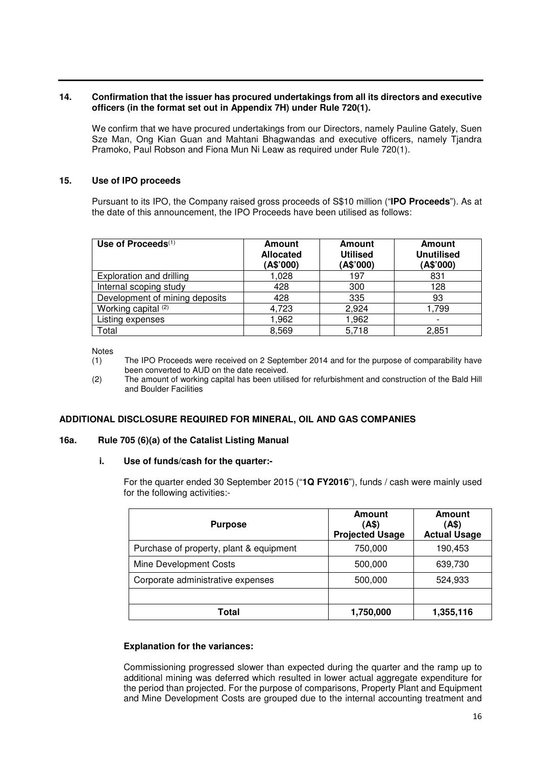## **14. Confirmation that the issuer has procured undertakings from all its directors and executive officers (in the format set out in Appendix 7H) under Rule 720(1).**

 We confirm that we have procured undertakings from our Directors, namely Pauline Gately, Suen Sze Man, Ong Kian Guan and Mahtani Bhagwandas and executive officers, namely Tjandra Pramoko, Paul Robson and Fiona Mun Ni Leaw as required under Rule 720(1).

## **15. Use of IPO proceeds**

Pursuant to its IPO, the Company raised gross proceeds of S\$10 million ("**IPO Proceeds**"). As at the date of this announcement, the IPO Proceeds have been utilised as follows:

| Use of Proceeds $(1)$          | <b>Amount</b><br><b>Allocated</b><br>(A\$'000) | <b>Amount</b><br><b>Utilised</b><br>(A\$'000) | <b>Amount</b><br><b>Unutilised</b><br>(A\$'000) |
|--------------------------------|------------------------------------------------|-----------------------------------------------|-------------------------------------------------|
| Exploration and drilling       | 1,028                                          | 197                                           | 831                                             |
| Internal scoping study         | 428                                            | 300                                           | 128                                             |
| Development of mining deposits | 428                                            | 335                                           | 93                                              |
| Working capital (2)            | 4,723                                          | 2,924                                         | 1,799                                           |
| Listing expenses               | 1,962                                          | 1,962                                         |                                                 |
| Total                          | 8,569                                          | 5,718                                         | 2,851                                           |

Notes

- (1) The IPO Proceeds were received on 2 September 2014 and for the purpose of comparability have been converted to AUD on the date received.
- (2) The amount of working capital has been utilised for refurbishment and construction of the Bald Hill and Boulder Facilities

#### **ADDITIONAL DISCLOSURE REQUIRED FOR MINERAL, OIL AND GAS COMPANIES**

#### **16a. Rule 705 (6)(a) of the Catalist Listing Manual**

#### **i. Use of funds/cash for the quarter:-**

For the quarter ended 30 September 2015 ("**1Q FY2016**"), funds / cash were mainly used for the following activities:-

| <b>Purpose</b>                          | Amount<br>(A\$)<br><b>Projected Usage</b> | Amount<br>(A\$)<br><b>Actual Usage</b> |
|-----------------------------------------|-------------------------------------------|----------------------------------------|
| Purchase of property, plant & equipment | 750,000                                   | 190,453                                |
| Mine Development Costs                  | 500,000                                   | 639,730                                |
| Corporate administrative expenses       | 500,000                                   | 524,933                                |
|                                         |                                           |                                        |
| Total                                   | 1,750,000                                 | 1,355,116                              |

#### **Explanation for the variances:**

Commissioning progressed slower than expected during the quarter and the ramp up to additional mining was deferred which resulted in lower actual aggregate expenditure for the period than projected. For the purpose of comparisons, Property Plant and Equipment and Mine Development Costs are grouped due to the internal accounting treatment and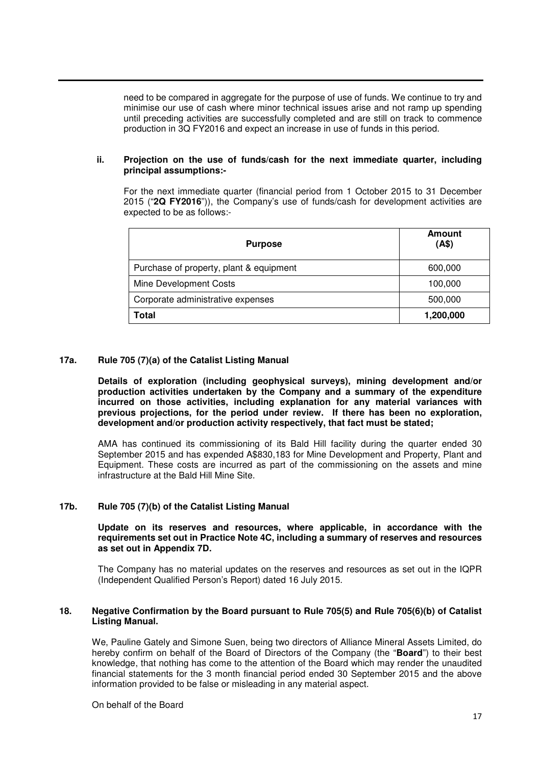need to be compared in aggregate for the purpose of use of funds. We continue to try and minimise our use of cash where minor technical issues arise and not ramp up spending until preceding activities are successfully completed and are still on track to commence production in 3Q FY2016 and expect an increase in use of funds in this period.

### **ii. Projection on the use of funds/cash for the next immediate quarter, including principal assumptions:-**

For the next immediate quarter (financial period from 1 October 2015 to 31 December 2015 ("**2Q FY2016**")), the Company's use of funds/cash for development activities are expected to be as follows:-

| <b>Purpose</b>                          | Amount<br>(AS) |
|-----------------------------------------|----------------|
| Purchase of property, plant & equipment | 600,000        |
| Mine Development Costs                  | 100,000        |
| Corporate administrative expenses       | 500,000        |
| Total                                   | 1,200,000      |

#### **17a. Rule 705 (7)(a) of the Catalist Listing Manual**

**Details of exploration (including geophysical surveys), mining development and/or production activities undertaken by the Company and a summary of the expenditure incurred on those activities, including explanation for any material variances with previous projections, for the period under review. If there has been no exploration, development and/or production activity respectively, that fact must be stated;** 

AMA has continued its commissioning of its Bald Hill facility during the quarter ended 30 September 2015 and has expended A\$830,183 for Mine Development and Property, Plant and Equipment. These costs are incurred as part of the commissioning on the assets and mine infrastructure at the Bald Hill Mine Site.

## **17b. Rule 705 (7)(b) of the Catalist Listing Manual**

#### **Update on its reserves and resources, where applicable, in accordance with the requirements set out in Practice Note 4C, including a summary of reserves and resources as set out in Appendix 7D.**

The Company has no material updates on the reserves and resources as set out in the IQPR (Independent Qualified Person's Report) dated 16 July 2015.

#### **18. Negative Confirmation by the Board pursuant to Rule 705(5) and Rule 705(6)(b) of Catalist Listing Manual.**

We, Pauline Gately and Simone Suen, being two directors of Alliance Mineral Assets Limited, do hereby confirm on behalf of the Board of Directors of the Company (the "**Board**") to their best knowledge, that nothing has come to the attention of the Board which may render the unaudited financial statements for the 3 month financial period ended 30 September 2015 and the above information provided to be false or misleading in any material aspect.

On behalf of the Board